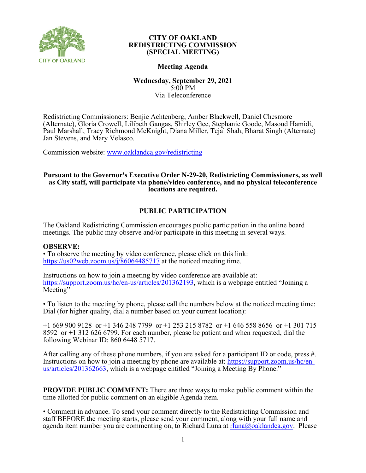

# **Meeting Agenda**

## **Wednesday, September 29, 2021** 5:00 PM Via Teleconference

Redistricting Commissioners: Benjie Achtenberg, Amber Blackwell, Daniel Chesmore (Alternate), Gloria Crowell, Lilibeth Gangas, Shirley Gee, Stephanie Goode, Masoud Hamidi, Paul Marshall, Tracy Richmond McKnight, Diana Miller, Tejal Shah, Bharat Singh (Alternate) Jan Stevens, and Mary Velasco.

Commission website: [www.oaklandca.gov/redistricting](https://www.oaklandca.gov/boards-commissions/redistricting-commission/meetings)

## **Pursuant to the Governor's Executive Order N-29-20, Redistricting Commissioners, as well as City staff, will participate via phone/video conference, and no physical teleconference locations are required.**

# **PUBLIC PARTICIPATION**

The Oakland Redistricting Commission encourages public participation in the online board meetings. The public may observe and/or participate in this meeting in several ways.

## **OBSERVE:**

• To observe the meeting by video conference, please click on this link: <https://us02web.zoom.us/j/86064485717> at the noticed meeting time.

Instructions on how to join a meeting by video conference are available at: [https://support.zoom.us/hc/en-us/articles/201362193,](https://support.zoom.us/hc/en-us/articles/201362193) which is a webpage entitled "Joining a Meeting"

• To listen to the meeting by phone, please call the numbers below at the noticed meeting time: Dial (for higher quality, dial a number based on your current location):

+1 669 900 9128 or +1 346 248 7799 or +1 253 215 8782 or +1 646 558 8656 or +1 301 715 8592 or +1 312 626 6799. For each number, please be patient and when requested, dial the following Webinar ID: 860 6448 5717.

After calling any of these phone numbers, if you are asked for a participant ID or code, press #. Instructions on how to join a meeting by phone are available at: [https://support.zoom.us/hc/en](https://support.zoom.us/hc/en-us/articles/201362663)[us/articles/201362663,](https://support.zoom.us/hc/en-us/articles/201362663) which is a webpage entitled "Joining a Meeting By Phone."

**PROVIDE PUBLIC COMMENT:** There are three ways to make public comment within the time allotted for public comment on an eligible Agenda item.

• Comment in advance. To send your comment directly to the Redistricting Commission and staff BEFORE the meeting starts, please send your comment, along with your full name and agenda item number you are commenting on, to Richard Luna at  $r_{\text{luna}(Q)}$ oaklandca.gov. Please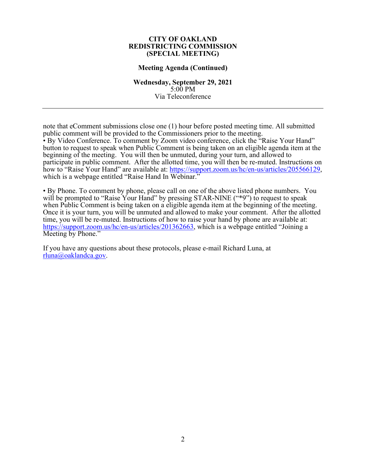### **Meeting Agenda (Continued)**

**Wednesday, September 29, 2021** 5:00 PM Via Teleconference

note that eComment submissions close one (1) hour before posted meeting time. All submitted public comment will be provided to the Commissioners prior to the meeting. • By Video Conference. To comment by Zoom video conference, click the "Raise Your Hand" button to request to speak when Public Comment is being taken on an eligible agenda item at the beginning of the meeting. You will then be unmuted, during your turn, and allowed to participate in public comment. After the allotted time, you will then be re-muted. Instructions on how to "Raise Your Hand" are available at: [https://support.zoom.us/hc/en-us/articles/205566129,](https://support.zoom.us/hc/en-us/articles/205566129) which is a webpage entitled "Raise Hand In Webinar."

• By Phone. To comment by phone, please call on one of the above listed phone numbers. You will be prompted to "Raise Your Hand" by pressing STAR-NINE ("\*9") to request to speak when Public Comment is being taken on a eligible agenda item at the beginning of the meeting. Once it is your turn, you will be unmuted and allowed to make your comment. After the allotted time, you will be re-muted. Instructions of how to raise your hand by phone are available at: [https://support.zoom.us/hc/en-us/articles/201362663,](https://support.zoom.us/hc/en-us/articles/201362663) which is a webpage entitled "Joining a Meeting by Phone."

If you have any questions about these protocols, please e-mail Richard Luna, at [rluna@oaklandca.gov.](mailto:rluna@oaklandca.gov)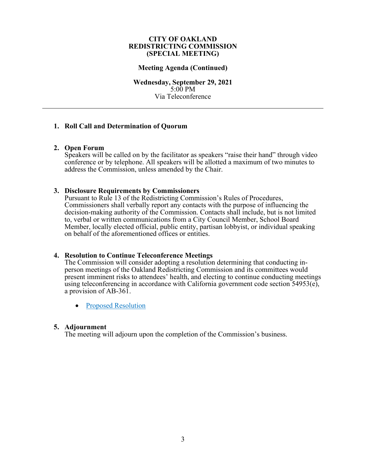## **Meeting Agenda (Continued)**

**Wednesday, September 29, 2021** 5:00 PM Via Teleconference

## **1. Roll Call and Determination of Quorum**

## **2. Open Forum**

Speakers will be called on by the facilitator as speakers "raise their hand" through video conference or by telephone. All speakers will be allotted a maximum of two minutes to address the Commission, unless amended by the Chair.

## **3. Disclosure Requirements by Commissioners**

Pursuant to Rule 13 of the Redistricting Commission's Rules of Procedures, Commissioners shall verbally report any contacts with the purpose of influencing the decision-making authority of the Commission. Contacts shall include, but is not limited to, verbal or written communications from a City Council Member, School Board Member, locally elected official, public entity, partisan lobbyist, or individual speaking on behalf of the aforementioned offices or entities.

## **4. Resolution to Continue Teleconference Meetings**

The Commission will consider adopting a resolution determining that conducting in- person meetings of the Oakland Redistricting Commission and its committees would present imminent risks to attendees' health, and electing to continue conducting meetings using teleconferencing in accordance with California government code section 54953(e), a provision of AB-361.

• [Proposed Resolution](#page-4-0)

## **5. Adjournment**

The meeting will adjourn upon the completion of the Commission's business.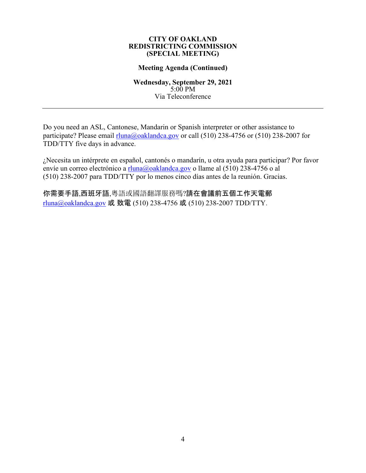## **Meeting Agenda (Continued)**

**Wednesday, September 29, 2021** 5:00 PM Via Teleconference

Do you need an ASL, Cantonese, Mandarin or Spanish interpreter or other assistance to participate? Please email [rluna@oaklandca.gov](mailto:rluna@oaklandca.gov) or call (510) 238-4756 or (510) 238-2007 for TDD/TTY five days in advance.

¿Necesita un intérprete en español, cantonés o mandarín, u otra ayuda para participar? Por favor envíe un correo electrónico a [rluna@oaklandca.gov](mailto:rluna@oaklandca.gov) o llame al (510) 238-4756 o al (510) 238-2007 para TDD/TTY por lo menos cinco días antes de la reunión. Gracias.

你需要手語,西班牙語,粵語或國語翻譯服務嗎?請在會議前五個工作天電郵 [rluna@oaklandca.gov](mailto:rluna@oaklandca.gov) 或 致電 (510) 238-4756 或 (510) 238-2007 TDD/TTY.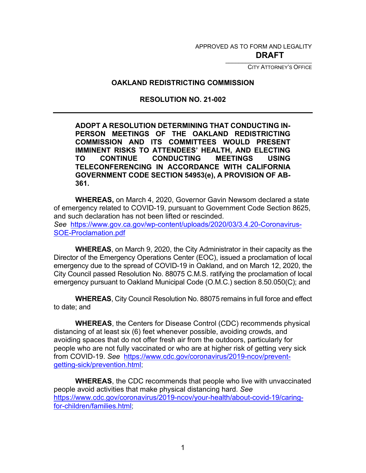APPROVED AS TO FORM AND LEGALITY

\_\_\_\_\_\_\_\_\_\_\_\_\_\_\_\_\_\_\_\_\_\_\_\_\_\_ **DRAFT**

CITY ATTORNEY'S OFFICE

# <span id="page-4-0"></span>**OAKLAND REDISTRICTING COMMISSION**

# **RESOLUTION NO. 21-002**

**ADOPT A RESOLUTION DETERMINING THAT CONDUCTING IN-PERSON MEETINGS OF THE OAKLAND REDISTRICTING COMMISSION AND ITS COMMITTEES WOULD PRESENT IMMINENT RISKS TO ATTENDEES' HEALTH, AND ELECTING TO CONTINUE CONDUCTING MEETINGS USING TELECONFERENCING IN ACCORDANCE WITH CALIFORNIA GOVERNMENT CODE SECTION 54953(e), A PROVISION OF AB-361.**

**WHEREAS,** on March 4, 2020, Governor Gavin Newsom declared a state of emergency related to COVID-19, pursuant to Government Code Section 8625, and such declaration has not been lifted or rescinded. *See* [https://www.gov.ca.gov/wp-content/uploads/2020/03/3.4.20-Coronavirus-](https://www.gov.ca.gov/wp-content/uploads/2020/03/3.4.20-Coronavirus-SOE-Proclamation.pdf)[SOE-Proclamation.pdf](https://www.gov.ca.gov/wp-content/uploads/2020/03/3.4.20-Coronavirus-SOE-Proclamation.pdf) 

**WHEREAS**, on March 9, 2020, the City Administrator in their capacity as the Director of the Emergency Operations Center (EOC), issued a proclamation of local emergency due to the spread of COVID-19 in Oakland, and on March 12, 2020, the City Council passed Resolution No. 88075 C.M.S. ratifying the proclamation of local emergency pursuant to Oakland Municipal Code (O.M.C.) section 8.50.050(C); and

**WHEREAS**, City Council Resolution No. 88075 remains in full force and effect to date; and

**WHEREAS**, the Centers for Disease Control (CDC) recommends physical distancing of at least six (6) feet whenever possible, avoiding crowds, and avoiding spaces that do not offer fresh air from the outdoors, particularly for people who are not fully vaccinated or who are at higher risk of getting very sick from COVID-19. *See* [https://www.cdc.gov/coronavirus/2019-ncov/prevent](https://www.cdc.gov/coronavirus/2019-ncov/prevent-getting-sick/prevention.html)[getting-sick/prevention.html;](https://www.cdc.gov/coronavirus/2019-ncov/prevent-getting-sick/prevention.html)

**WHEREAS**, the CDC recommends that people who live with unvaccinated people avoid activities that make physical distancing hard. *See* [https://www.cdc.gov/coronavirus/2019-ncov/your-health/about-covid-19/caring](https://www.cdc.gov/coronavirus/2019-ncov/your-health/about-covid-19/caring-for-children/families.html)[for-children/families.html;](https://www.cdc.gov/coronavirus/2019-ncov/your-health/about-covid-19/caring-for-children/families.html)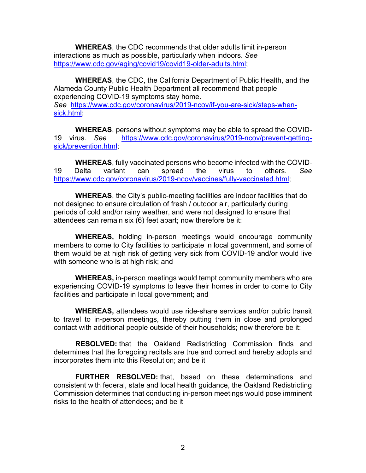**WHEREAS**, the CDC recommends that older adults limit in-person interactions as much as possible, particularly when indoors. *See* [https://www.cdc.gov/aging/covid19/covid19-older-adults.html;](https://www.cdc.gov/aging/covid19/covid19-older-adults.html)

**WHEREAS**, the CDC, the California Department of Public Health, and the Alameda County Public Health Department all recommend that people experiencing COVID-19 symptoms stay home. *See* [https://www.cdc.gov/coronavirus/2019-ncov/if-you-are-sick/steps-when](https://www.cdc.gov/coronavirus/2019-ncov/if-you-are-sick/steps-when-sick.html)[sick.html;](https://www.cdc.gov/coronavirus/2019-ncov/if-you-are-sick/steps-when-sick.html)

**WHEREAS**, persons without symptoms may be able to spread the COVID-19 virus. *See* [https://www.cdc.gov/coronavirus/2019-ncov/prevent-getting](https://www.cdc.gov/coronavirus/2019-ncov/prevent-getting-sick/prevention.html)[sick/prevention.html;](https://www.cdc.gov/coronavirus/2019-ncov/prevent-getting-sick/prevention.html)

**WHEREAS**, fully vaccinated persons who become infected with the COVID-19 Delta variant can spread the virus to others. *See* [https://www.cdc.gov/coronavirus/2019-ncov/vaccines/fully-vaccinated.html;](https://www.cdc.gov/coronavirus/2019-ncov/vaccines/fully-vaccinated.html)

**WHEREAS**, the City's public-meeting facilities are indoor facilities that do not designed to ensure circulation of fresh / outdoor air, particularly during periods of cold and/or rainy weather, and were not designed to ensure that attendees can remain six (6) feet apart; now therefore be it:

**WHEREAS,** holding in-person meetings would encourage community members to come to City facilities to participate in local government, and some of them would be at high risk of getting very sick from COVID-19 and/or would live with someone who is at high risk; and

**WHEREAS,** in-person meetings would tempt community members who are experiencing COVID-19 symptoms to leave their homes in order to come to City facilities and participate in local government; and

**WHEREAS,** attendees would use ride-share services and/or public transit to travel to in-person meetings, thereby putting them in close and prolonged contact with additional people outside of their households; now therefore be it:

**RESOLVED:** that the Oakland Redistricting Commission finds and determines that the foregoing recitals are true and correct and hereby adopts and incorporates them into this Resolution; and be it

**FURTHER RESOLVED:** that, based on these determinations and consistent with federal, state and local health guidance, the Oakland Redistricting Commission determines that conducting in-person meetings would pose imminent risks to the health of attendees; and be it